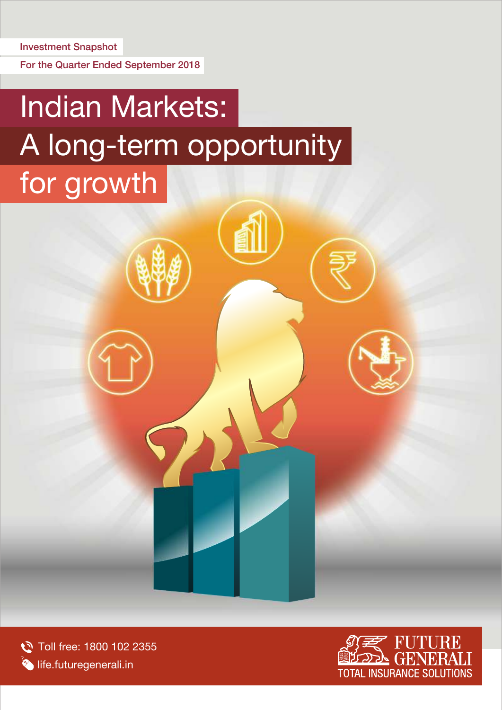For the Quarter Ended September 2018

# Indian Markets: A long-term opportunity for growth

Toll free: 1800 102 2355 **Iffe.futuregenerali.in** 

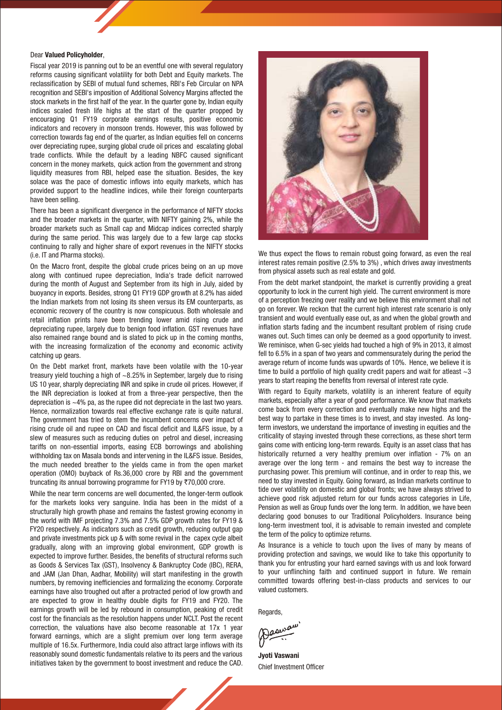### Dear Valued Policyholder,

Fiscal year 2019 is panning out to be an eventful one with several regulatory reforms causing significant volatility for both Debt and Equity markets. The reclassification by SEBI of mutual fund schemes, RBI's Feb Circular on NPA recognition and SEBI's imposition of Additional Solvency Margins affected the stock markets in the first half of the year. In the quarter gone by, Indian equity indices scaled fresh life highs at the start of the quarter propped by encouraging Q1 FY19 corporate earnings results, positive economic indicators and recovery in monsoon trends. However, this was followed by correction towards fag end of the quarter, as Indian equities fell on concerns over depreciating rupee, surging global crude oil prices and escalating global trade conflicts. While the default by a leading NBFC caused significant concern in the money markets, quick action from the government and strong liquidity measures from RBI, helped ease the situation. Besides, the key solace was the pace of domestic inflows into equity markets, which has provided support to the headline indices, while their foreign counterparts have been selling.

There has been a significant divergence in the performance of NIFTY stocks and the broader markets in the quarter, with NIFTY gaining 2%, while the broader markets such as Small cap and Midcap indices corrected sharply during the same period. This was largely due to a few large cap stocks continuing to rally and higher share of export revenues in the NIFTY stocks (i.e. IT and Pharma stocks).

On the Macro front, despite the global crude prices being on an up move along with continued rupee depreciation, India's trade deficit narrowed during the month of August and September from its high in July, aided by buoyancy in exports. Besides, strong Q1 FY19 GDP growth at 8.2% has aided the Indian markets from not losing its sheen versus its EM counterparts, as economic recovery of the country is now conspicuous. Both wholesale and retail inflation prints have been trending lower amid rising crude and depreciating rupee, largely due to benign food inflation. GST revenues have also remained range bound and is slated to pick up in the coming months, with the increasing formalization of the economy and economic activity catching up gears.

On the Debt market front, markets have been volatile with the 10-year treasury yield touching a high of ~8.25% in September, largely due to rising US 10 year, sharply depreciating INR and spike in crude oil prices. However, if the INR depreciation is looked at from a three-year perspective, then the depreciation is  $\sim$ 4% pa, as the rupee did not depreciate in the last two vears. Hence, normalization towards real effective exchange rate is quite natural. The government has tried to stem the incumbent concerns over impact of rising crude oil and rupee on CAD and fiscal deficit and IL&FS issue, by a slew of measures such as reducing duties on petrol and diesel, increasing tariffs on non-essential imports, easing ECB borrowings and abolishing withholding tax on Masala bonds and inter vening in the IL&FS issue. Besides, the much needed breather to the yields came in from the open market operation (OMO) buyback of Rs.36,000 crore by RBI and the government truncating its annual borrowing programme for FY19 by  $\overline{570,000}$  crore.

While the near term concerns are well documented, the longer-term outlook for the markets looks very sanguine. India has been in the midst of a structurally high growth phase and remains the fastest growing economy in the world with IMF projecting 7.3% and 7.5% GDP growth rates for FY19 & FY20 respectively. As indicators such as credit growth, reducing output gap and private investments pick up & with some revival in the capex cycle albeit gradually, along with an improving global environment, GDP growth is expected to improve further. Besides, the benefits of structural reforms such as Goods & Services Tax (GST), Insolvency & Bankruptcy Code (IBC), RERA, and JAM (Jan Dhan, Aadhar, Mobility) will start manifesting in the growth numbers, by removing inefficiencies and formalizing the economy. Corporate earnings have also troughed out after a protracted period of low growth and are expected to grow in healthy double digits for FY19 and FY20. The earnings growth will be led by rebound in consumption, peaking of credit cost for the financials as the resolution happens under NCLT. Post the recent correction, the valuations have also become reasonable at 17x 1 year forward earnings, which are a slight premium over long term average multiple of 16.5x. Furthermore, India could also attract large inflows with its reasonably sound domestic fundamentals relative to its peers and the various initiatives taken by the government to boost investment and reduce the CAD.



We thus expect the flows to remain robust going forward, as even the real interest rates remain positive (2.5% to 3%) , which drives away investments from physical assets such as real estate and gold.

From the debt market standpoint, the market is currently providing a great opportunity to lock in the current high yield. The current environment is more of a perception freezing over reality and we believe this environment shall not go on forever. We reckon that the current high interest rate scenario is only transient and would eventually ease out, as and when the global growth and inflation starts fading and the incumbent resultant problem of rising crude wanes out. Such times can only be deemed as a good opportunity to invest. We reminisce, when G-sec yields had touched a high of 9% in 2013, it almost fell to 6.5% in a span of two years and commensurately during the period the average return of income funds was upwards of 10%. Hence, we believe it is time to build a portfolio of high quality credit papers and wait for at least  $\sim$  3 years to start reaping the benefits from reversal of interest rate cycle.

With regard to Equity markets, volatility is an inherent feature of equity markets, especially after a year of good performance. We know that markets come back from every correction and eventually make new highs and the best way to partake in these times is to invest, and stay invested. As longterm investors, we understand the importance of investing in equities and the criticality of staying invested through these corrections, as these short term gains come with enticing long-term rewards. Equity is an asset class that has historically returned a very healthy premium over inflation - 7% on an average over the long term - and remains the best way to increase the purchasing power. This premium will continue, and in order to reap this, we need to stay invested in Equity. Going forward, as Indian markets continue to tide over volatility on domestic and global fronts; we have always strived to achieve good risk adjusted return for our funds across categories in Life, Pension as well as Group funds over the long term. In addition, we have been declaring good bonuses to our Traditional Policyholders. Insurance being long-term investment tool, it is advisable to remain invested and complete the term of the policy to optimize returns.

As Insurance is a vehicle to touch upon the lives of many by means of providing protection and savings, we would like to take this opportunity to thank you for entrusting your hard earned savings with us and look forward to your unflinching faith and continued support in future. We remain committed towards offering best-in-class products and services to our valued customers.

Regards,

Jaana

Jyoti Vaswani Chief Investment Officer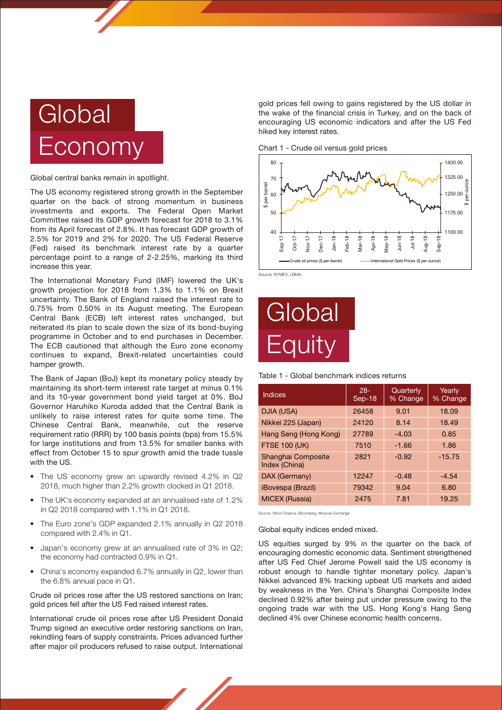

Global central banks remain in spotlight.

The US economy registered strong growth in the September quarter on the back of strong momentum in business investments and exports. The Federal Open Market Committee raised its GDP growth forecast for 2018 to 3.1% from its April forecast of 2.8%. It has forecast GDP growth of 2.5% for 2019 and 2% for 2020. The US Federal Reserve (Fed) raised its benchmark interest rate by a quarter percentage point to a range of 2-2.25%, marking its third increase this year.

The International Monetary Fund (IMF) lowered the UK's growth projection for 2018 from 1.3% to 1.1% on Brexit uncertainty. The Bank of England raised the interest rate to 0.75% from 0.50% in its August meeting. The European Central Bank (ECB) left interest rates unchanged, but reiterated its plan to scale down the size of its bond-buying programme in October and to end purchases in December. The ECB cautioned that although the Euro zone economy continues to expand, Brexit-related uncertainties could hamper growth.

The Bank of Japan (BoJ) kept its monetary policy steady by maintaining its short-term interest rate target at minus 0.1% and its 10-year government bond yield target at 0%. BoJ Governor Haruhiko Kuroda added that the Central Bank is unlikely to raise interest rates for quite some time. The Chinese Central Bank, meanwhile, cut the reserve requirement ratio (RRR) by 100 basis points (bps) from 15.5% for large institutions and from 13.5% for smaller banks with effect from October 15 to spur growth amid the trade tussle with the US.

- The US economy grew an upwardly revised 4.2% in Q2 2018, much higher than 2.2% growth clocked in Q1 2018.
- The UK's economy expanded at an annualised rate of 1.2% in Q2 2018 compared with 1.1% in Q1 2018.
- The Euro zone's GDP expanded 2.1% annually in Q2 2018 compared with 2.4% in Q1.
- Japan's economy grew at an annualised rate of 3% in Q2; the economy had contracted 0.9% in Q1.
- China's economy expanded 6.7% annually in Q2, lower than the 6.8% annual pace in Q1.

Crude oil prices rose after the US restored sanctions on Iran; gold prices fell after the US Fed raised interest rates.

International crude oil prices rose after US President Donald Trump signed an executive order restoring sanctions on Iran, rekindling fears of supply constraints. Prices advanced further after major oil producers refused to raise output. International

gold prices fell owing to gains registered by the US dollar in the wake of the financial crisis in Turkey, and on the back of encouraging US economic indicators and after the US Fed hiked key interest rates.

Chart 1 - Crude oil versus gold prices



Source: NYMEX, LBMA



Table 1 - Global benchmark indices returns

| Indices                             | $28 -$<br>Sep-18 | Quarterly<br>% Change | Yearly<br>% Change |
|-------------------------------------|------------------|-----------------------|--------------------|
| DJIA (USA)                          | 26458            | 9.01                  | 18.09              |
| Nikkei 225 (Japan)                  | 24120            | 8.14                  | 18.49              |
| Hang Seng (Hong Kong)               | 27789            | $-4.03$               | 0.85               |
| <b>FTSE 100 (UK)</b>                | 7510             | $-1.66$               | 1.86               |
| Shanghai Composite<br>Index (China) | 2821             | $-0.92$               | $-15.75$           |
| DAX (Germany)                       | 12247            | $-0.48$               | $-4.54$            |
| <i><b>iBovespa (Brazil)</b></i>     | 79342            | 9.04                  | 6.80               |
| <b>MICEX (Russia)</b>               | 2475             | 7.81                  | 19.25              |

Source: Yahoo Finance, Bloomberg, Moscow Exchange

Global equity indices ended mixed.

US equities surged by 9% in the quarter on the back of encouraging domestic economic data. Sentiment strengthened after US Fed Chief Jerome Powell said the US economy is robust enough to handle tighter monetary policy. Japan's Nikkei advanced 8% tracking upbeat US markets and aided by weakness in the Yen. China's Shanghai Composite Index declined 0.92% after being put under pressure owing to the ongoing trade war with the US. Hong Kong's Hang Seng declined 4% over Chinese economic health concerns.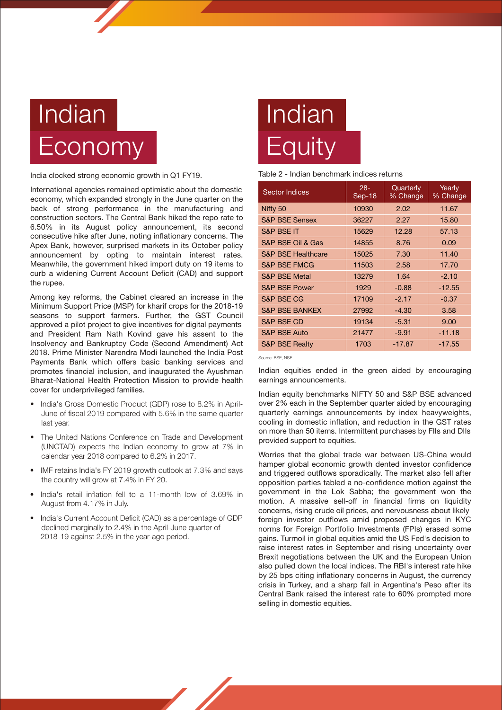# Indian **Economy**

India clocked strong economic growth in Q1 FY19.

International agencies remained optimistic about the domestic economy, which expanded strongly in the June quarter on the back of strong performance in the manufacturing and construction sectors. The Central Bank hiked the repo rate to 6.50% in its August policy announcement, its second consecutive hike after June, noting inflationary concerns. The Apex Bank, however, surprised markets in its October policy announcement by opting to maintain interest rates. Meanwhile, the government hiked import duty on 19 items to curb a widening Current Account Deficit (CAD) and support the rupee.

Among key reforms, the Cabinet cleared an increase in the Minimum Support Price (MSP) for kharif crops for the 2018-19 seasons to support farmers. Further, the GST Council approved a pilot project to give incentives for digital payments and President Ram Nath Kovind gave his assent to the Insolvency and Bankruptcy Code (Second Amendment) Act 2018. Prime Minister Narendra Modi launched the India Post Payments Bank which offers basic banking services and promotes financial inclusion, and inaugurated the Ayushman Bharat-National Health Protection Mission to provide health cover for underprivileged families.

- India's Gross Domestic Product (GDP) rose to 8.2% in April-June of fiscal 2019 compared with 5.6% in the same quarter last year.
- The United Nations Conference on Trade and Development (UNCTAD) expects the Indian economy to grow at 7% in calendar year 2018 compared to 6.2% in 2017.
- IMF retains India's FY 2019 growth outlook at 7.3% and says the country will grow at 7.4% in FY 20.
- India's retail inflation fell to a 11-month low of 3.69% in August from 4.17% in July.
- India's Current Account Deficit (CAD) as a percentage of GDP declined marginally to 2.4% in the April-June quarter of 2018-19 against 2.5% in the year-ago period.

# Indian **Equity**

# Table 2 - Indian benchmark indices returns

| <b>Sector Indices</b>         | $28 -$<br>Sep-18 | Quarterly<br>% Change | Yearly<br>% Change |
|-------------------------------|------------------|-----------------------|--------------------|
| Nifty 50                      | 10930            | 2.02                  | 11.67              |
| <b>S&amp;P BSE Sensex</b>     | 36227            | 2.27                  | 15.80              |
| <b>S&amp;P BSE IT</b>         | 15629            | 12.28                 | 57.13              |
| S&P BSE Oil & Gas             | 14855            | 8.76                  | 0.09               |
| <b>S&amp;P BSE Healthcare</b> | 15025            | 7.30                  | 11.40              |
| <b>S&amp;P BSE FMCG</b>       | 11503            | 2.58                  | 17.70              |
| <b>S&amp;P BSE Metal</b>      | 13279            | 1.64                  | $-2.10$            |
| <b>S&amp;P BSE Power</b>      | 1929             | $-0.88$               | $-12.55$           |
| <b>S&amp;P BSE CG</b>         | 17109            | $-2.17$               | $-0.37$            |
| <b>S&amp;P BSE BANKEX</b>     | 27992            | $-4.30$               | 3.58               |
| <b>S&amp;P BSE CD</b>         | 19134            | $-5.31$               | 9.00               |
| <b>S&amp;P BSE Auto</b>       | 21477            | $-9.91$               | $-11.18$           |
| <b>S&amp;P BSE Realty</b>     | 1703             | $-17.87$              | $-17.55$           |

Source: BSE, NSE

Indian equities ended in the green aided by encouraging earnings announcements.

Indian equity benchmarks NIFTY 50 and S&P BSE advanced over 2% each in the September quarter aided by encouraging quarterly earnings announcements by index heavyweights, cooling in domestic inflation, and reduction in the GST rates on more than 50 items. Intermittent purchases by FIIs and DIIs provided support to equities.

Worries that the global trade war between US-China would hamper global economic growth dented investor confidence and triggered outflows sporadically. The market also fell after opposition parties tabled a no-confidence motion against the government in the Lok Sabha; the government won the motion. A massive sell-off in financial firms on liquidity concerns, rising crude oil prices, and nervousness about likely foreign investor outflows amid proposed changes in KYC norms for Foreign Portfolio Investments (FPIs) erased some gains. Turmoil in global equities amid the US Fed's decision to raise interest rates in September and rising uncertainty over Brexit negotiations between the UK and the European Union also pulled down the local indices. The RBI's interest rate hike by 25 bps citing inflationary concerns in August, the currency crisis in Turkey, and a sharp fall in Argentina's Peso after its Central Bank raised the interest rate to 60% prompted more selling in domestic equities.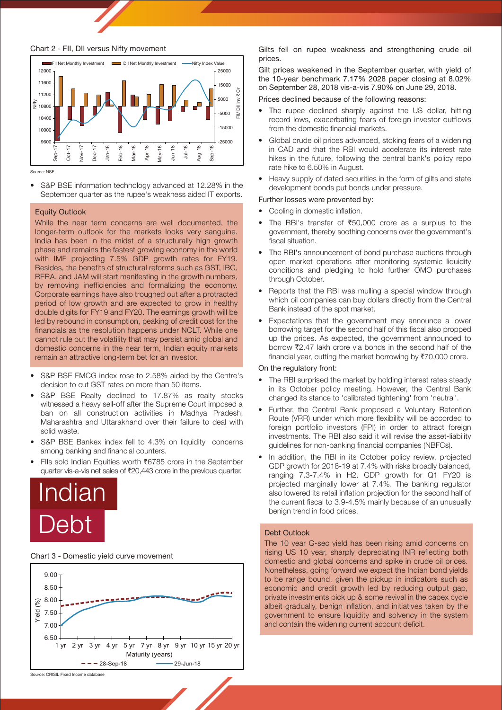

#### Chart 2 - FII, DII versus Nifty movement



Source: NSE

• S&P BSE information technology advanced at 12.28% in the September quarter as the rupee's weakness aided IT exports.

#### Equity Outlook

While the near term concerns are well documented, the longer-term outlook for the markets looks very sanguine. India has been in the midst of a structurally high growth phase and remains the fastest growing economy in the world with IMF projecting 7.5% GDP growth rates for FY19. Besides, the benefits of structural reforms such as GST, IBC, RERA, and JAM will start manifesting in the growth numbers, by removing inefficiencies and formalizing the economy. Corporate earnings have also troughed out after a protracted period of low growth and are expected to grow in healthy double digits for FY19 and FY20. The earnings growth will be led by rebound in consumption, peaking of credit cost for the financials as the resolution happens under NCLT. While one cannot rule out the volatility that may persist amid global and domestic concerns in the near term, Indian equity markets remain an attractive long-term bet for an investor.

- decision to cut GST rates on more than 50 items. S&P BSE FMCG index rose to 2.58% aided by the Centre's
- S&P BSE Realty declined to 17,87% as realty stocks witnessed a heavy sell-off after the Supreme Court imposed a ban on all construction activities in Madhya Pradesh, Maharashtra and Uttarakhand over their failure to deal with solid waste.
- S&P BSE Bankex index fell to 4.3% on liquidity concerns among banking and financial counters.
- FIIs sold Indian Equities worth `6785 crore in the September quarter vis-a-vis net sales of ₹20,443 crore in the previous quarter.



#### Chart 3 - Domestic yield curve movement



Gilts fell on rupee weakness and strengthening crude oil prices.

Gilt prices weakened in the September quarter, with yield of the 10-year benchmark 7.17% 2028 paper closing at 8.02% on September 28, 2018 vis-a-vis 7.90% on June 29, 2018.

## Prices declined because of the following reasons:

- The rupee declined sharply against the US dollar, hitting record lows, exacerbating fears of foreign investor outflows from the domestic financial markets.
- Global crude oil prices advanced, stoking fears of a widening in CAD and that the RBI would accelerate its interest rate hikes in the future, following the central bank's policy repo rate hike to 6.50% in August.
- Heavy supply of dated securities in the form of gilts and state development bonds put bonds under pressure.

## Further losses were prevented by:

- Cooling in domestic inflation.
- The RBI's transfer of  $\text{\textsterling}50,000$  crore as a surplus to the government, thereby soothing concerns over the government's fiscal situation.
- The RBI's announcement of bond purchase auctions through open market operations after monitoring systemic liquidity conditions and pledging to hold further OMO purchases through October.
- Reports that the RBI was mulling a special window through which oil companies can buy dollars directly from the Central Bank instead of the spot market.
- Expectations that the government may announce a lower borrowing target for the second half of this fiscal also propped up the prices. As expected, the government announced to borrow ₹2.47 lakh crore via bonds in the second half of the financial year, cutting the market borrowing by  $\overline{570.000}$  crore.

#### On the regulatory front:

- The RBI surprised the market by holding interest rates steady in its October policy meeting. However, the Central Bank changed its stance to 'calibrated tightening' from 'neutral'.
- Further, the Central Bank proposed a Voluntary Retention Route (VRR) under which more flexibility will be accorded to foreign portfolio investors (FPI) in order to attract foreign investments. The RBI also said it will revise the asset-liability guidelines for non-banking financial companies (NBFCs).
- In addition, the RBI in its October policy review, projected GDP growth for 2018-19 at 7.4% with risks broadly balanced, ranging 7.3-7.4% in H2. GDP growth for Q1 FY20 is projected marginally lower at 7.4%. The banking regulator also lowered its retail inflation projection for the second half of the current fiscal to 3.9-4.5% mainly because of an unusually benign trend in food prices.

# Debt Outlook

The 10 year G-sec yield has been rising amid concerns on rising US 10 year, sharply depreciating INR reflecting both domestic and global concerns and spike in crude oil prices. Nonetheless, going forward we expect the Indian bond yields to be range bound, given the pickup in indicators such as economic and credit growth led by reducing output gap, private investments pick up & some revival in the capex cycle albeit gradually, benign inflation, and initiatives taken by the government to ensure liquidity and solvency in the system and contain the widening current account deficit.